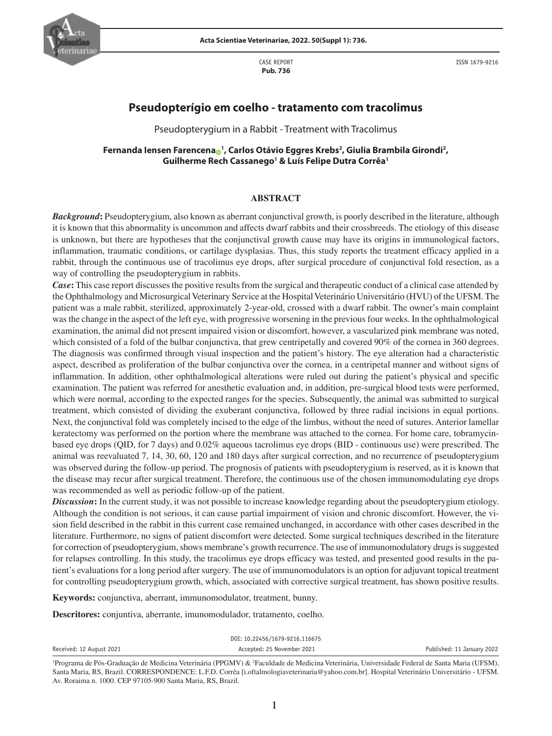CASE REPORT **Pub. 736**



ISSN 1679-9216

# **Pseudopterígio em coelho - tratamento com tracolimus**

Pseudopterygium in a Rabbit - Treatment with Tracolimus

# **Fernanda Iensen Farencen[a](https://orcid.org/0000-0003-0608-5394) <sup>1</sup> , Carlos Otávio Eggres Krebs2 , Giulia Brambila Girondi2 , Guilherme Rech Cassanego1 & Luís Felipe Dutra Corrêa1**

#### **ABSTRACT**

*Background***:** Pseudopterygium, also known as aberrant conjunctival growth, is poorly described in the literature, although it is known that this abnormality is uncommon and affects dwarf rabbits and their crossbreeds. The etiology of this disease is unknown, but there are hypotheses that the conjunctival growth cause may have its origins in immunological factors, inflammation, traumatic conditions, or cartilage dysplasias. Thus, this study reports the treatment efficacy applied in a rabbit, through the continuous use of tracolimus eye drops, after surgical procedure of conjunctival fold resection, as a way of controlling the pseudopterygium in rabbits.

*Case***:** This case report discusses the positive results from the surgical and therapeutic conduct of a clinical case attended by the Ophthalmology and Microsurgical Veterinary Service at the Hospital Veterinário Universitário (HVU) of the UFSM. The patient was a male rabbit, sterilized, approximately 2-year-old, crossed with a dwarf rabbit. The owner's main complaint was the change in the aspect of the left eye, with progressive worsening in the previous four weeks. In the ophthalmological examination, the animal did not present impaired vision or discomfort, however, a vascularized pink membrane was noted, which consisted of a fold of the bulbar conjunctiva, that grew centripetally and covered 90% of the cornea in 360 degrees. The diagnosis was confirmed through visual inspection and the patient's history. The eye alteration had a characteristic aspect, described as proliferation of the bulbar conjunctiva over the cornea, in a centripetal manner and without signs of inflammation. In addition, other ophthalmological alterations were ruled out during the patient's physical and specific examination. The patient was referred for anesthetic evaluation and, in addition, pre-surgical blood tests were performed, which were normal, according to the expected ranges for the species. Subsequently, the animal was submitted to surgical treatment, which consisted of dividing the exuberant conjunctiva, followed by three radial incisions in equal portions. Next, the conjunctival fold was completely incised to the edge of the limbus, without the need of sutures. Anterior lamellar keratectomy was performed on the portion where the membrane was attached to the cornea. For home care, tobramycinbased eye drops (QID, for 7 days) and 0.02% aqueous tacrolimus eye drops (BID - continuous use) were prescribed. The animal was reevaluated 7, 14, 30, 60, 120 and 180 days after surgical correction, and no recurrence of pseudopterygium was observed during the follow-up period. The prognosis of patients with pseudopterygium is reserved, as it is known that the disease may recur after surgical treatment. Therefore, the continuous use of the chosen immunomodulating eye drops was recommended as well as periodic follow-up of the patient.

*Discussion***:** In the current study, it was not possible to increase knowledge regarding about the pseudopterygium etiology. Although the condition is not serious, it can cause partial impairment of vision and chronic discomfort. However, the vision field described in the rabbit in this current case remained unchanged, in accordance with other cases described in the literature. Furthermore, no signs of patient discomfort were detected. Some surgical techniques described in the literature for correction of pseudopterygium, shows membrane's growth recurrence. The use of immunomodulatory drugs is suggested for relapses controlling. In this study, the tracolimus eye drops efficacy was tested, and presented good results in the patient's evaluations for a long period after surgery. The use of immunomodulators is an option for adjuvant topical treatment for controlling pseudopterygium growth, which, associated with corrective surgical treatment, has shown positive results.

**Keywords:** conjunctiva, aberrant, immunomodulator, treatment, bunny.

**Descritores:** conjuntiva, aberrante, imunomodulador, tratamento, coelho.

|                          | DOI: 10.22456/1679-9216.116675 |                            |
|--------------------------|--------------------------------|----------------------------|
| Received: 12 August 2021 | Accepted: 25 November 2021     | Published: 11 January 2022 |
|                          |                                |                            |

<sup>&</sup>lt;sup>1</sup>Programa de Pós-Graduação de Medicina Veterinária (PPGMV) & <sup>2</sup>Faculdade de Medicina Veterinária, Universidade Federal de Santa Maria (UFSM), Santa Maria, RS, Brazil. CORRESPONDENCE: L.F.D. Corrêa [i.oftalmologiaveterinaria@yahoo.com.br]. Hospital Veterinário Universitário - UFSM. Av. Roraima n. 1000. CEP 97105-900 Santa Maria, RS, Brazil.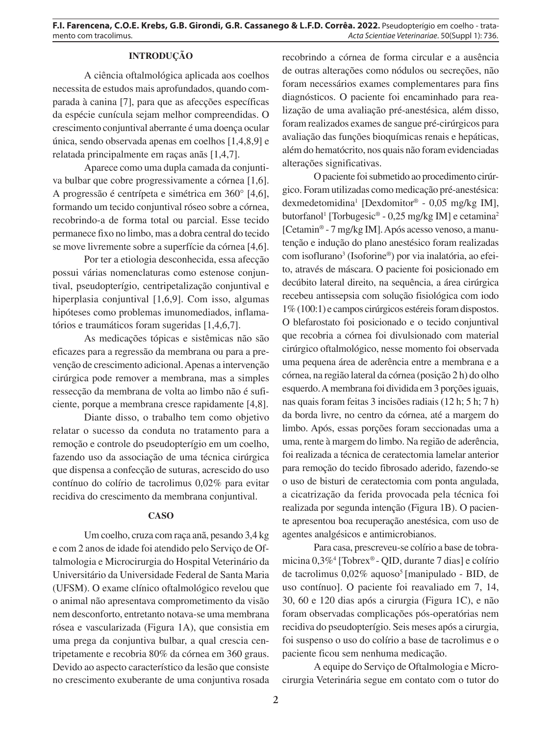# **INTRODUÇÃO**

A ciência oftalmológica aplicada aos coelhos necessita de estudos mais aprofundados, quando comparada à canina [7], para que as afecções específicas da espécie cunícula sejam melhor compreendidas. O crescimento conjuntival aberrante é uma doença ocular única, sendo observada apenas em coelhos [1,4,8,9] e relatada principalmente em raças anãs [1,4,7].

Aparece como uma dupla camada da conjuntiva bulbar que cobre progressivamente a córnea [1,6]. A progressão é centrípeta e simétrica em 360° [4,6], formando um tecido conjuntival róseo sobre a córnea, recobrindo-a de forma total ou parcial. Esse tecido permanece fixo no limbo, mas a dobra central do tecido se move livremente sobre a superfície da córnea [4,6].

Por ter a etiologia desconhecida, essa afecção possui várias nomenclaturas como estenose conjuntival, pseudopterígio, centripetalização conjuntival e hiperplasia conjuntival [1,6,9]. Com isso, algumas hipóteses como problemas imunomediados, inflamatórios e traumáticos foram sugeridas [1,4,6,7].

As medicações tópicas e sistêmicas não são eficazes para a regressão da membrana ou para a prevenção de crescimento adicional. Apenas a intervenção cirúrgica pode remover a membrana, mas a simples ressecção da membrana de volta ao limbo não é suficiente, porque a membrana cresce rapidamente [4,8].

Diante disso, o trabalho tem como objetivo relatar o sucesso da conduta no tratamento para a remoção e controle do pseudopterígio em um coelho, fazendo uso da associação de uma técnica cirúrgica que dispensa a confecção de suturas, acrescido do uso contínuo do colírio de tacrolimus 0,02% para evitar recidiva do crescimento da membrana conjuntival.

#### **CASO**

Um coelho, cruza com raça anã, pesando 3,4 kg e com 2 anos de idade foi atendido pelo Serviço de Oftalmologia e Microcirurgia do Hospital Veterinário da Universitário da Universidade Federal de Santa Maria (UFSM). O exame clínico oftalmológico revelou que o animal não apresentava comprometimento da visão nem desconforto, entretanto notava-se uma membrana rósea e vascularizada (Figura 1A), que consistia em uma prega da conjuntiva bulbar, a qual crescia centripetamente e recobria 80% da córnea em 360 graus. Devido ao aspecto característico da lesão que consiste no crescimento exuberante de uma conjuntiva rosada recobrindo a córnea de forma circular e a ausência de outras alterações como nódulos ou secreções, não foram necessários exames complementares para fins diagnósticos. O paciente foi encaminhado para realização de uma avaliação pré-anestésica, além disso, foram realizados exames de sangue pré-cirúrgicos para avaliação das funções bioquímicas renais e hepáticas, além do hematócrito, nos quais não foram evidenciadas alterações significativas.

O paciente foi submetido ao procedimento cirúrgico. Foram utilizadas como medicação pré-anestésica: dexmedetomidina1 [Dexdomitor® - 0,05 mg/kg IM], butorfanol<sup>1</sup> [Torbugesic® - 0,25 mg/kg IM] e cetamina<sup>2</sup> [Cetamin® - 7 mg/kg IM]. Após acesso venoso, a manutenção e indução do plano anestésico foram realizadas com isoflurano3 (Isoforine®) por via inalatória, ao efeito, através de máscara. O paciente foi posicionado em decúbito lateral direito, na sequência, a área cirúrgica recebeu antissepsia com solução fisiológica com iodo 1% (100:1) e campos cirúrgicos estéreis foram dispostos. O blefarostato foi posicionado e o tecido conjuntival que recobria a córnea foi divulsionado com material cirúrgico oftalmológico, nesse momento foi observada uma pequena área de aderência entre a membrana e a córnea, na região lateral da córnea (posição 2 h) do olho esquerdo. A membrana foi dividida em 3 porções iguais, nas quais foram feitas 3 incisões radiais (12 h; 5 h; 7 h) da borda livre, no centro da córnea, até a margem do limbo. Após, essas porções foram seccionadas uma a uma, rente à margem do limbo. Na região de aderência, foi realizada a técnica de ceratectomia lamelar anterior para remoção do tecido fibrosado aderido, fazendo-se o uso de bisturi de ceratectomia com ponta angulada, a cicatrização da ferida provocada pela técnica foi realizada por segunda intenção (Figura 1B). O paciente apresentou boa recuperação anestésica, com uso de agentes analgésicos e antimicrobianos.

Para casa, prescreveu-se colírio a base de tobramicina 0,3%4 [Tobrex® - QID, durante 7 dias] e colírio de tacrolimus 0,02% aquoso<sup>5</sup> [manipulado - BID, de uso contínuo]. O paciente foi reavaliado em 7, 14, 30, 60 e 120 dias após a cirurgia (Figura 1C), e não foram observadas complicações pós-operatórias nem recidiva do pseudopterígio. Seis meses após a cirurgia, foi suspenso o uso do colírio a base de tacrolimus e o paciente ficou sem nenhuma medicação.

A equipe do Serviço de Oftalmologia e Microcirurgia Veterinária segue em contato com o tutor do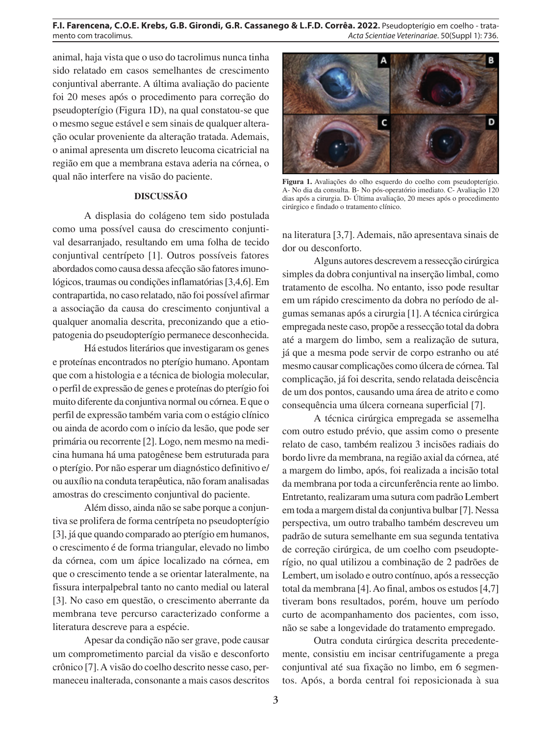### **F.I. Farencena, C.O.E. Krebs, G.B. Girondi, G.R. Cassanego & L.F.D. Corrêa. 2022.** Pseudopterígio em coelho - tratamento com tracolimus. *Acta Scientiae Veterinariae*. 50(Suppl 1): 736.

animal, haja vista que o uso do tacrolimus nunca tinha sido relatado em casos semelhantes de crescimento conjuntival aberrante. A última avaliação do paciente foi 20 meses após o procedimento para correção do pseudopterígio (Figura 1D), na qual constatou-se que o mesmo segue estável e sem sinais de qualquer alteração ocular proveniente da alteração tratada. Ademais, o animal apresenta um discreto leucoma cicatricial na região em que a membrana estava aderia na córnea, o qual não interfere na visão do paciente.

# **DISCUSSÃO**

A displasia do colágeno tem sido postulada como uma possível causa do crescimento conjuntival desarranjado, resultando em uma folha de tecido conjuntival centrípeto [1]. Outros possíveis fatores abordados como causa dessa afecção são fatores imunológicos, traumas ou condições inflamatórias [3,4,6]. Em contrapartida, no caso relatado, não foi possível afirmar a associação da causa do crescimento conjuntival a qualquer anomalia descrita, preconizando que a etiopatogenia do pseudopterígio permanece desconhecida.

Há estudos literários que investigaram os genes e proteínas encontrados no pterígio humano. Apontam que com a histologia e a técnica de biologia molecular, o perfil de expressão de genes e proteínas do pterígio foi muito diferente da conjuntiva normal ou córnea. E que o perfil de expressão também varia com o estágio clínico ou ainda de acordo com o início da lesão, que pode ser primária ou recorrente [2]. Logo, nem mesmo na medicina humana há uma patogênese bem estruturada para o pterígio. Por não esperar um diagnóstico definitivo e/ ou auxílio na conduta terapêutica, não foram analisadas amostras do crescimento conjuntival do paciente.

Além disso, ainda não se sabe porque a conjuntiva se prolifera de forma centrípeta no pseudopterígio [3], já que quando comparado ao pterígio em humanos, o crescimento é de forma triangular, elevado no limbo da córnea, com um ápice localizado na córnea, em que o crescimento tende a se orientar lateralmente, na fissura interpalpebral tanto no canto medial ou lateral [3]. No caso em questão, o crescimento aberrante da membrana teve percurso caracterizado conforme a literatura descreve para a espécie.

Apesar da condição não ser grave, pode causar um comprometimento parcial da visão e desconforto crônico [7]. A visão do coelho descrito nesse caso, permaneceu inalterada, consonante a mais casos descritos



**Figura 1.** Avaliações do olho esquerdo do coelho com pseudopterígio. A- No dia da consulta. B- No pós-operatório imediato. C- Avaliação 120 dias após a cirurgia. D- Última avaliação, 20 meses após o procedimento cirúrgico e findado o tratamento clínico.

na literatura [3,7]. Ademais, não apresentava sinais de dor ou desconforto.

Alguns autores descrevem a ressecção cirúrgica simples da dobra conjuntival na inserção limbal, como tratamento de escolha. No entanto, isso pode resultar em um rápido crescimento da dobra no período de algumas semanas após a cirurgia [1]. A técnica cirúrgica empregada neste caso, propõe a ressecção total da dobra até a margem do limbo, sem a realização de sutura, já que a mesma pode servir de corpo estranho ou até mesmo causar complicações como úlcera de córnea. Tal complicação, já foi descrita, sendo relatada deiscência de um dos pontos, causando uma área de atrito e como consequência uma úlcera corneana superficial [7].

A técnica cirúrgica empregada se assemelha com outro estudo prévio, que assim como o presente relato de caso, também realizou 3 incisões radiais do bordo livre da membrana, na região axial da córnea, até a margem do limbo, após, foi realizada a incisão total da membrana por toda a circunferência rente ao limbo. Entretanto, realizaram uma sutura com padrão Lembert em toda a margem distal da conjuntiva bulbar [7]. Nessa perspectiva, um outro trabalho também descreveu um padrão de sutura semelhante em sua segunda tentativa de correção cirúrgica, de um coelho com pseudopterígio, no qual utilizou a combinação de 2 padrões de Lembert, um isolado e outro contínuo, após a ressecção total da membrana [4]. Ao final, ambos os estudos [4,7] tiveram bons resultados, porém, houve um período curto de acompanhamento dos pacientes, com isso, não se sabe a longevidade do tratamento empregado.

Outra conduta cirúrgica descrita precedentemente, consistiu em incisar centrifugamente a prega conjuntival até sua fixação no limbo, em 6 segmentos. Após, a borda central foi reposicionada à sua